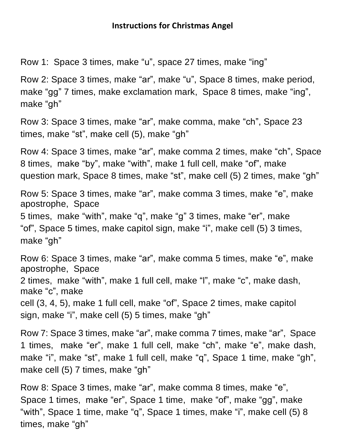Row 1: Space 3 times, make "u", space 27 times, make "ing"

Row 2: Space 3 times, make "ar", make "u", Space 8 times, make period, make "gg" 7 times, make exclamation mark, Space 8 times, make "ing", make "gh"

Row 3: Space 3 times, make "ar", make comma, make "ch", Space 23 times, make "st", make cell (5), make "gh"

Row 4: Space 3 times, make "ar", make comma 2 times, make "ch", Space 8 times, make "by", make "with", make 1 full cell, make "of", make question mark, Space 8 times, make "st", make cell (5) 2 times, make "gh"

Row 5: Space 3 times, make "ar", make comma 3 times, make "e", make apostrophe, Space 5 times, make "with", make "q", make "g" 3 times, make "er", make "of", Space 5 times, make capitol sign, make "i", make cell (5) 3 times, make "gh"

Row 6: Space 3 times, make "ar", make comma 5 times, make "e", make apostrophe, Space 2 times, make "with", make 1 full cell, make "l", make "c", make dash, make "c", make cell (3, 4, 5), make 1 full cell, make "of", Space 2 times, make capitol sign, make "i", make cell (5) 5 times, make "gh"

Row 7: Space 3 times, make "ar", make comma 7 times, make "ar", Space 1 times, make "er", make 1 full cell, make "ch", make "e", make dash, make "i", make "st", make 1 full cell, make "q", Space 1 time, make "gh", make cell (5) 7 times, make "gh"

Row 8: Space 3 times, make "ar", make comma 8 times, make "e", Space 1 times, make "er", Space 1 time, make "of", make "gg", make "with", Space 1 time, make "q", Space 1 times, make "i", make cell (5) 8 times, make "gh"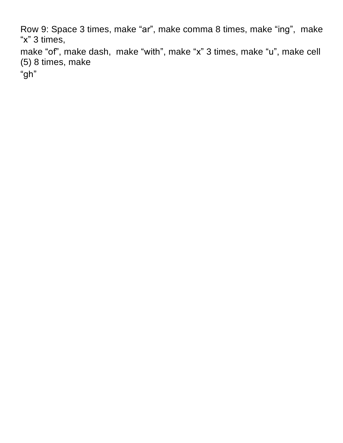Row 9: Space 3 times, make "ar", make comma 8 times, make "ing", make "x" 3 times,

make "of", make dash, make "with", make "x" 3 times, make "u", make cell (5) 8 times, make

"gh"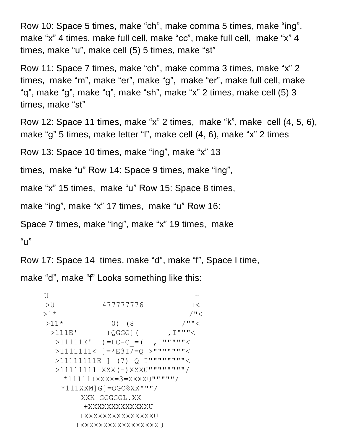Row 10: Space 5 times, make "ch", make comma 5 times, make "ing", make "x" 4 times, make full cell, make "cc", make full cell, make "x" 4 times, make "u", make cell (5) 5 times, make "st"

Row 11: Space 7 times, make "ch", make comma 3 times, make "x" 2 times, make "m", make "er", make "g", make "er", make full cell, make "q", make "g", make "q", make "sh", make "x" 2 times, make cell (5) 3 times, make "st"

```
Row 12: Space 11 times, make "x" 2 times, make "k", make cell (4, 5, 6),
make "g" 5 times, make letter "l", make cell (4, 6), make "x" 2 times
```
Row 13: Space 10 times, make "ing", make "x" 13

```
times, make "u" Row 14: Space 9 times, make "ing",
```

```
make "x" 15 times, make "u" Row 15: Space 8 times,
```

```
make "ing", make "x" 17 times, make "u" Row 16:
```

```
Space 7 times, make "ing", make "x" 19 times, make
```
 $"U"$ 

Row 17: Space 14 times, make "d", make "f", Space I time, make "d", make "f" Looks something like this:

```
\cup>U 477777776 +<
>1* /''<
>11* 0) = (8 / ""<
 >111E' )QGGG]( ,I"""<
 >11111E' )=LC-C = ( , I"""""<
 >1111111< ]=*E3I/=0 >""""""""<
 >11111111E | (7) O I"""""""""<
 >11111111+XXX(-)XXXU""""""""/
   *11111+XXXX=3=XXXXU"""""/
  *111XXM]G]=OGO%XX"""/
      XXK_GGGGGL.XX
      +XXXXXXXXXXXXXU
     +XXXXXXXXXXXXXXXU
     +XXXXXXXXXXXXXXXXXU
```